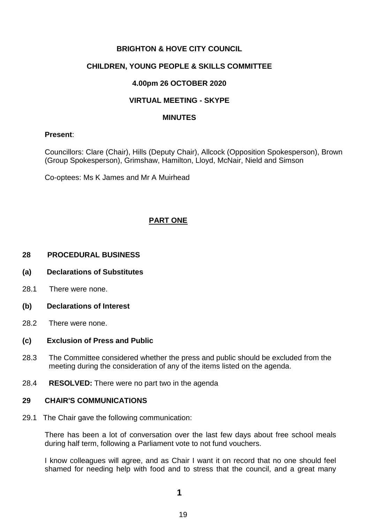# **BRIGHTON & HOVE CITY COUNCIL**

# **CHILDREN, YOUNG PEOPLE & SKILLS COMMITTEE**

# **4.00pm 26 OCTOBER 2020**

# **VIRTUAL MEETING - SKYPE**

#### **MINUTES**

### **Present**:

Councillors: Clare (Chair), Hills (Deputy Chair), Allcock (Opposition Spokesperson), Brown (Group Spokesperson), Grimshaw, Hamilton, Lloyd, McNair, Nield and Simson

Co-optees: Ms K James and Mr A Muirhead

# **PART ONE**

### **28 PROCEDURAL BUSINESS**

#### **(a) Declarations of Substitutes**

28.1 There were none.

#### **(b) Declarations of Interest**

28.2 There were none.

#### **(c) Exclusion of Press and Public**

- 28.3 The Committee considered whether the press and public should be excluded from the meeting during the consideration of any of the items listed on the agenda.
- 28.4 **RESOLVED:** There were no part two in the agenda

#### **29 CHAIR'S COMMUNICATIONS**

29.1 The Chair gave the following communication:

There has been a lot of conversation over the last few days about free school meals during half term, following a Parliament vote to not fund vouchers.

I know colleagues will agree, and as Chair I want it on record that no one should feel shamed for needing help with food and to stress that the council, and a great many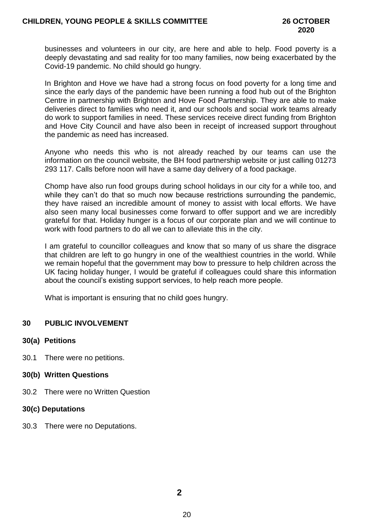businesses and volunteers in our city, are here and able to help. Food poverty is a deeply devastating and sad reality for too many families, now being exacerbated by the Covid-19 pandemic. No child should go hungry.

In Brighton and Hove we have had a strong focus on food poverty for a long time and since the early days of the pandemic have been running a food hub out of the Brighton Centre in partnership with Brighton and Hove Food Partnership. They are able to make deliveries direct to families who need it, and our schools and social work teams already do work to support families in need. These services receive direct funding from Brighton and Hove City Council and have also been in receipt of increased support throughout the pandemic as need has increased.

Anyone who needs this who is not already reached by our teams can use the information on the council website, the BH food partnership website or just calling 01273 293 117. Calls before noon will have a same day delivery of a food package.

Chomp have also run food groups during school holidays in our city for a while too, and while they can't do that so much now because restrictions surrounding the pandemic. they have raised an incredible amount of money to assist with local efforts. We have also seen many local businesses come forward to offer support and we are incredibly grateful for that. Holiday hunger is a focus of our corporate plan and we will continue to work with food partners to do all we can to alleviate this in the city.

I am grateful to councillor colleagues and know that so many of us share the disgrace that children are left to go hungry in one of the wealthiest countries in the world. While we remain hopeful that the government may bow to pressure to help children across the UK facing holiday hunger, I would be grateful if colleagues could share this information about the council's existing support services, to help reach more people.

What is important is ensuring that no child goes hungry.

# **30 PUBLIC INVOLVEMENT**

#### **30(a) Petitions**

- 30.1 There were no petitions.
- **30(b) Written Questions**
- 30.2 There were no Written Question

#### **30(c) Deputations**

30.3 There were no Deputations.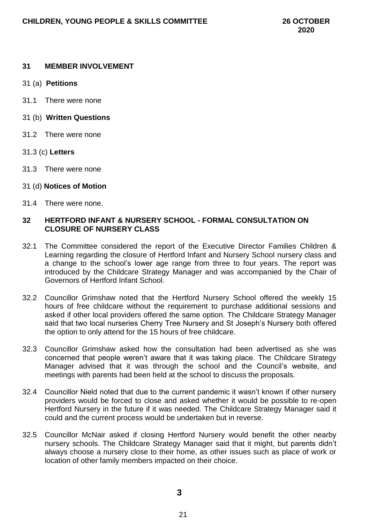### **31 MEMBER INVOLVEMENT**

- 31 (a) **Petitions**
- 31.1 There were none
- 31 (b) **Written Questions**
- 31.2 There were none
- 31.3 (c) **Letters**
- 31.3 There were none
- 31 (d) **Notices of Motion**
- 31.4 There were none.

# **32 HERTFORD INFANT & NURSERY SCHOOL - FORMAL CONSULTATION ON CLOSURE OF NURSERY CLASS**

- 32.1 The Committee considered the report of the Executive Director Families Children & Learning regarding the closure of Hertford Infant and Nursery School nursery class and a change to the school's lower age range from three to four years. The report was introduced by the Childcare Strategy Manager and was accompanied by the Chair of Governors of Hertford Infant School.
- 32.2 Councillor Grimshaw noted that the Hertford Nursery School offered the weekly 15 hours of free childcare without the requirement to purchase additional sessions and asked if other local providers offered the same option. The Childcare Strategy Manager said that two local nurseries Cherry Tree Nursery and St Joseph's Nursery both offered the option to only attend for the 15 hours of free childcare.
- 32.3 Councillor Grimshaw asked how the consultation had been advertised as she was concerned that people weren't aware that it was taking place. The Childcare Strategy Manager advised that it was through the school and the Council's website, and meetings with parents had been held at the school to discuss the proposals.
- 32.4 Councillor Nield noted that due to the current pandemic it wasn't known if other nursery providers would be forced to close and asked whether it would be possible to re-open Hertford Nursery in the future if it was needed. The Childcare Strategy Manager said it could and the current process would be undertaken but in reverse.
- 32.5 Councillor McNair asked if closing Hertford Nursery would benefit the other nearby nursery schools. The Childcare Strategy Manager said that it might, but parents didn't always choose a nursery close to their home, as other issues such as place of work or location of other family members impacted on their choice.